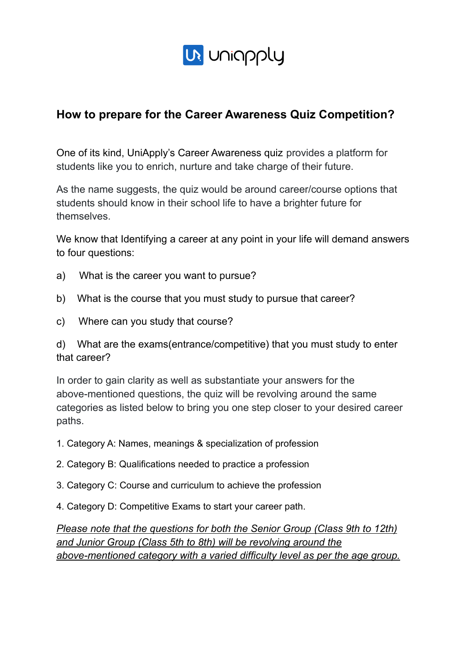

## **How to prepare for the Career Awareness Quiz Competition?**

One of its kind, UniApply's Career Awareness quiz provides a platform for students like you to enrich, nurture and take charge of their future.

As the name suggests, the quiz would be around career/course options that students should know in their school life to have a brighter future for themselves.

We know that Identifying a career at any point in your life will demand answers to four questions:

- a) What is the career you want to pursue?
- b) What is the course that you must study to pursue that career?
- c) Where can you study that course?

d) What are the exams(entrance/competitive) that you must study to enter that career?

In order to gain clarity as well as substantiate your answers for the above-mentioned questions, the quiz will be revolving around the same categories as listed below to bring you one step closer to your desired career paths.

- 1. Category A: Names, meanings & specialization of profession
- 2. Category B: Qualifications needed to practice a profession
- 3. Category C: Course and curriculum to achieve the profession
- 4. Category D: Competitive Exams to start your career path.

*Please note that the questions for both the Senior Group (Class 9th to 12th) and Junior Group (Class 5th to 8th) will be revolving around the above-mentioned category with a varied difficulty level as per the age group.*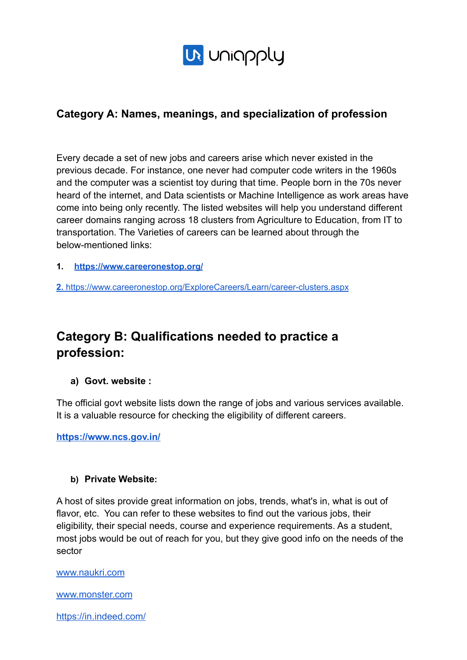

### **Category A: Names, meanings, and specialization of profession**

Every decade a set of new jobs and careers arise which never existed in the previous decade. For instance, one never had computer code writers in the 1960s and the computer was a scientist toy during that time. People born in the 70s never heard of the internet, and Data scientists or Machine Intelligence as work areas have come into being only recently. The listed websites will help you understand different career domains ranging across 18 clusters from Agriculture to Education, from IT to transportation. The Varieties of careers can be learned about through the below-mentioned links:

**1. https://www.careeronestop.org/**

**2.** https://www.careeronestop.org/ExploreCareers/Learn/career-clusters.aspx

# **Category B: Qualifications needed to practice a profession:**

#### **a) Govt. website :**

The official govt website lists down the range of jobs and various services available. It is a valuable resource for checking the eligibility of different careers.

**https://www.ncs.gov.in/**

#### **b) Private Website:**

A host of sites provide great information on jobs, trends, what's in, what is out of flavor, etc. You can refer to these websites to find out the various jobs, their eligibility, their special needs, course and experience requirements. As a student, most jobs would be out of reach for you, but they give good info on the needs of the sector

www.naukri.com

www.monster.com

https://in.indeed.com/